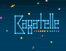## STOCKS & BAODS

ᠿ

O

6

**SS** 

O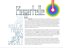BagatelleTHIN Bagatelle is the simple manifestation of an alphabet constructed with basic line-and-circle geometry then taken to its aesthetic and technological extremes. Its idea is rooted in decades-old designer debates about the merits of drawing letterforms with a ruler and a compass, overall transformational subtleties in typography, and the limits of adaptive morphing in current technologies. The alphabet takes its skeletal cue from a logo mark designed by Fabio Nicoli in 1974 for Supertramp's breakthrough album *Crime of the Century*, which was playing on repeat during the design and engineering process.

Kapatelle

VARIABLE

VARIABLE

REGULAR

MEDIUM

HEAVY

LIGHT

**BOLD** 

The development of Bagatelle (named after the forefather of so many ball-and-stick table games) was an ideal interpolative playground. The design movement control works along two axes  $-$  a sticks axis changing the weight of the lines and a **balls** one changing the weight of the circles. The final product is a six-font family ranging in weight from Thin to Heavy, along with a variable font that allows the discerning expert typographer easily controlled precision within those weights.

Pan-European language support (Latin, Cyrillic and Greek, with more than 1500 glyphs per font) is included in Bagatelle, along with plenty of OpenType features, from ligatures of the standard and discretionary varieties all the way to a plethora of stylistic variants (alternates, swashes, unicase forms and so on). This document is a pleasant dip into the versatility of this multi-faceted typeface and a showcase of its various stylistic and typographic features.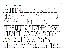## STYLISTIC ALTERNATES

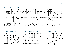STYLISTIC ALTERNATES







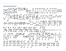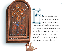

**agatelle** is the great grandfather of the current parlor games pinball and pachinko. In 1700s France, many table games involving sticks and balls were played indoors when inclement weather prohibited such outdoor pastimes as croquet and ground billiards.

Originally, players would strike ivory balls up a nine foot inclined table with sticks or cues, avoiding pins to ricochet balls into target holes. A number of variations on this theme were developed and eventually a portable version evolved using small steel ball bearings and a stationary plunger. The game became popular in America when French soldiers carried their favorite bagatelle tables with them while helping to fight the British during the Revolutionary War. Today vintage bagatelle boards can be found in antique shops and there are still a few specialty toy manufacturers that produce them in their natural wooden form.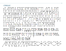## CYRILLIC

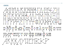**GREEK** 

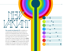

The variable font Bagatelle VF is available as a complementary offering with the purchase of a license for the Bagatelle family. This variable font allows for precise optical weight adjustments along two design axes. To control the thickness of the straight lines, simply change the value of the sticks axis, and to control the weight of the circles, change the value of the **balls** axis. In programs that support variable fonts, the axes' values can be changed via scrollbars if available or manually in an input box.